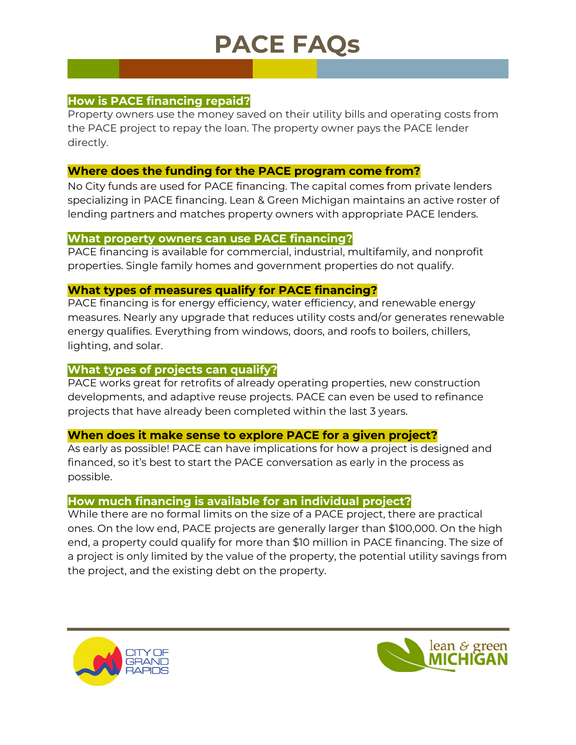# **PACE FAQs**

## **How is PACE financing repaid?**

Property owners use the money saved on their utility bills and operating costs from the PACE project to repay the loan. The property owner pays the PACE lender directly.

#### **Where does the funding for the PACE program come from?**

No City funds are used for PACE financing. The capital comes from private lenders specializing in PACE financing. Lean & Green Michigan maintains an active roster of lending partners and matches property owners with appropriate PACE lenders.

#### **What property owners can use PACE financing?**

PACE financing is available for commercial, industrial, multifamily, and nonprofit properties. Single family homes and government properties do not qualify.

#### **What types of measures qualify for PACE financing?**

PACE financing is for energy efficiency, water efficiency, and renewable energy measures. Nearly any upgrade that reduces utility costs and/or generates renewable energy qualifies. Everything from windows, doors, and roofs to boilers, chillers, lighting, and solar.

### **What types of projects can qualify?**

PACE works great for retrofits of already operating properties, new construction developments, and adaptive reuse projects. PACE can even be used to refinance projects that have already been completed within the last 3 years.

#### **When does it make sense to explore PACE for a given project?**

As early as possible! PACE can have implications for how a project is designed and financed, so it's best to start the PACE conversation as early in the process as possible.

#### **How much financing is available for an individual project?**

While there are no formal limits on the size of a PACE project, there are practical ones. On the low end, PACE projects are generally larger than \$100,000. On the high end, a property could qualify for more than \$10 million in PACE financing. The size of a project is only limited by the value of the property, the potential utility savings from the project, and the existing debt on the property.